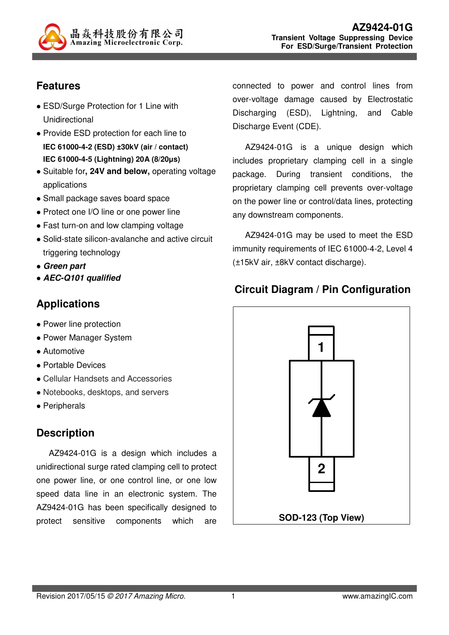

# **Features**

- ESD/Surge Protection for 1 Line with Unidirectional
- Provide ESD protection for each line to **IEC 61000-4-2 (ESD) ±30kV (air / contact) IEC 61000-4-5 (Lightning) 20A (8/20µs)**
- Suitable for**, 24V and below,** operating voltage applications
- Small package saves board space
- Protect one I/O line or one power line
- Fast turn-on and low clamping voltage
- Solid-state silicon-avalanche and active circuit triggering technology
- **Green part**
- **AEC-Q101 qualified**

### **Applications**

- Power line protection
- Power Manager System
- Automotive
- Portable Devices
- Cellular Handsets and Accessories
- Notebooks, desktops, and servers
- Peripherals

### **Description**

AZ9424-01G is a design which includes a unidirectional surge rated clamping cell to protect one power line, or one control line, or one low speed data line in an electronic system. The AZ9424-01G has been specifically designed to protect sensitive components which are

connected to power and control lines from over-voltage damage caused by Electrostatic Discharging (ESD), Lightning, and Cable Discharge Event (CDE).

AZ9424-01G is a unique design which includes proprietary clamping cell in a single package. During transient conditions, the proprietary clamping cell prevents over-voltage on the power line or control/data lines, protecting any downstream components.

AZ9424-01G may be used to meet the ESD immunity requirements of IEC 61000-4-2, Level 4 (±15kV air, ±8kV contact discharge).

### **Circuit Diagram / Pin Configuration**

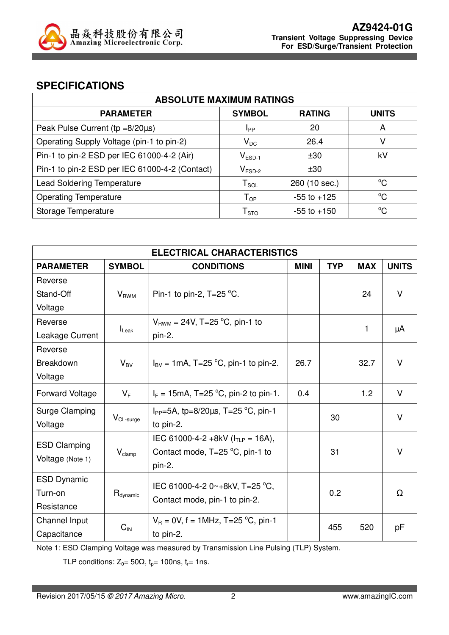

### **SPECIFICATIONS**

| <b>ABSOLUTE MAXIMUM RATINGS</b>                |                             |                 |              |  |
|------------------------------------------------|-----------------------------|-----------------|--------------|--|
| <b>PARAMETER</b>                               | <b>SYMBOL</b>               | <b>RATING</b>   | <b>UNITS</b> |  |
| Peak Pulse Current ( $tp = 8/20\mu s$ )        | Ipp                         | 20              | A            |  |
| Operating Supply Voltage (pin-1 to pin-2)      | $V_{DC}$                    | 26.4            | v            |  |
| Pin-1 to pin-2 ESD per IEC 61000-4-2 (Air)     | $V_{ESD-1}$                 | ±30             | kV           |  |
| Pin-1 to pin-2 ESD per IEC 61000-4-2 (Contact) | $V_{ESD-2}$                 | ±30             |              |  |
| <b>Lead Soldering Temperature</b>              | $T_{SOL}$                   | 260 (10 sec.)   | $^{\circ}C$  |  |
| <b>Operating Temperature</b>                   | ${\mathsf T}_{\textsf{OP}}$ | $-55$ to $+125$ | $^{\circ}C$  |  |
| Storage Temperature                            | ${\sf T}_{\text{STO}}$      | $-55$ to $+150$ | $^{\circ}C$  |  |

| <b>ELECTRICAL CHARACTERISTICS</b>       |                      |                                                                   |             |            |            |              |
|-----------------------------------------|----------------------|-------------------------------------------------------------------|-------------|------------|------------|--------------|
| <b>PARAMETER</b>                        | <b>SYMBOL</b>        | <b>CONDITIONS</b>                                                 | <b>MINI</b> | <b>TYP</b> | <b>MAX</b> | <b>UNITS</b> |
| Reverse                                 |                      |                                                                   |             |            |            |              |
| Stand-Off                               | $V_{RWM}$            | Pin-1 to pin-2, $T=25$ °C.                                        |             |            | 24         | $\vee$       |
| Voltage                                 |                      |                                                                   |             |            |            |              |
| Reverse                                 |                      | $V_{RWM} = 24V$ , T=25 °C, pin-1 to                               |             |            | 1          |              |
| Leakage Current                         | $I_{\mathsf{Leak}}$  | pin-2.                                                            |             |            |            | μA           |
| Reverse                                 |                      |                                                                   |             |            |            |              |
| <b>Breakdown</b>                        | $V_{BV}$             | $I_{BV} = 1 \text{mA}, T = 25 \text{ °C}, \text{pin-1 to pin-2}.$ | 26.7        |            | 32.7       | $\vee$       |
| Voltage                                 |                      |                                                                   |             |            |            |              |
| <b>Forward Voltage</b>                  | $V_F$                | $I_F = 15 \text{mA}, T = 25 \text{ °C}, \text{pin-2 to pin-1}.$   | 0.4         |            | 1.2        | $\vee$       |
| Surge Clamping                          |                      | $I_{PP}$ =5A, tp=8/20 $\mu$ s, T=25 °C, pin-1                     |             | 30         |            | V            |
| Voltage                                 | $V_{CL-surge}$       | to pin-2.                                                         |             |            |            |              |
|                                         |                      | IEC 61000-4-2 +8kV $(ITIP = 16A)$ ,                               |             |            |            |              |
| <b>ESD Clamping</b><br>Voltage (Note 1) | $V_{\text{clamp}}$   | Contact mode, $T=25$ °C, pin-1 to                                 | 31          |            |            | $\vee$       |
|                                         |                      | pin-2.                                                            |             |            |            |              |
| <b>ESD Dynamic</b>                      |                      | IEC 61000-4-2 0~+8kV, T=25 °C,                                    |             |            |            |              |
| Turn-on                                 | $R_{\text{dynamic}}$ |                                                                   |             | 0.2        |            | Ω            |
| Resistance                              |                      | Contact mode, pin-1 to pin-2.                                     |             |            |            |              |
| Channel Input                           | $C_{\text{IN}}$      | $V_R = 0V$ , f = 1MHz, T=25 °C, pin-1                             |             | 455        | 520        | рF           |
| Capacitance                             |                      | to pin-2.                                                         |             |            |            |              |

Note 1: ESD Clamping Voltage was measured by Transmission Line Pulsing (TLP) System.

TLP conditions:  $Z_0 = 50\Omega$ ,  $t_p = 100$ ns,  $t_r = 1$ ns.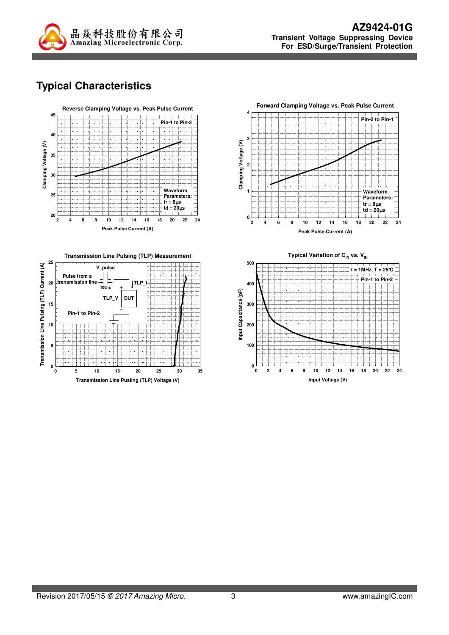

# **Typical Characteristics**







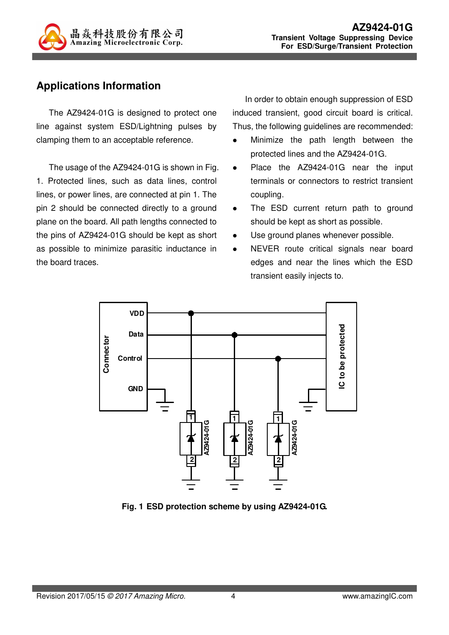

## **Applications Information**

The AZ9424-01G is designed to protect one line against system ESD/Lightning pulses by clamping them to an acceptable reference.

The usage of the AZ9424-01G is shown in Fig. 1. Protected lines, such as data lines, control lines, or power lines, are connected at pin 1. The pin 2 should be connected directly to a ground plane on the board. All path lengths connected to the pins of AZ9424-01G should be kept as short as possible to minimize parasitic inductance in the board traces.

In order to obtain enough suppression of ESD induced transient, good circuit board is critical. Thus, the following guidelines are recommended:

- Minimize the path length between the protected lines and the AZ9424-01G.
- Place the AZ9424-01G near the input terminals or connectors to restrict transient coupling.
- The ESD current return path to ground should be kept as short as possible.
- Use ground planes whenever possible.
- NEVER route critical signals near board edges and near the lines which the ESD transient easily injects to.



**Fig. 1 ESD protection scheme by using AZ9424-01G.**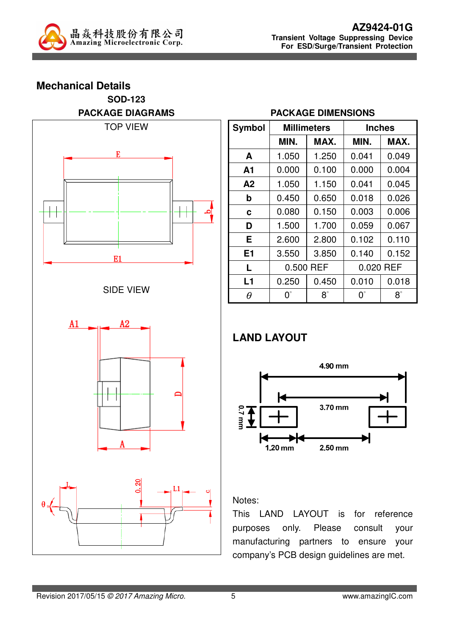

# **Mechanical Details SOD-123 PACKAGE DIAGRAMS**  TOP VIEW E E1 SIDE VIEW



#### **PACKAGE DIMENSIONS**

| <b>Symbol</b>  |             | <b>Millimeters</b> |             | <b>Inches</b> |  |  |
|----------------|-------------|--------------------|-------------|---------------|--|--|
|                | MIN.        | MAX.               | MIN.        | MAX.          |  |  |
| A              | 1.050       | 1.250              | 0.041       | 0.049         |  |  |
| A1             | 0.000       | 0.100              | 0.000       | 0.004         |  |  |
| A2             | 1.050       | 1.150              | 0.041       | 0.045         |  |  |
| b              | 0.450       | 0.650              | 0.018       | 0.026         |  |  |
| C              | 0.080       | 0.150              | 0.003       | 0.006         |  |  |
| D              | 1.500       | 1.700              | 0.059       | 0.067         |  |  |
| Е              | 2.600       | 2.800              | 0.102       | 0.110         |  |  |
| E <sub>1</sub> | 3.550       | 3.850              | 0.140       | 0.152         |  |  |
| L              | 0.500 REF   |                    | 0.020 REF   |               |  |  |
| L1             | 0.250       | 0.450              | 0.010       | 0.018         |  |  |
| θ              | $0^{\circ}$ | $8^\circ$          | $0^{\circ}$ | $8^\circ$     |  |  |

## **LAND LAYOUT**



### Notes:

This LAND LAYOUT is for reference purposes only. Please consult your manufacturing partners to ensure your company's PCB design guidelines are met.